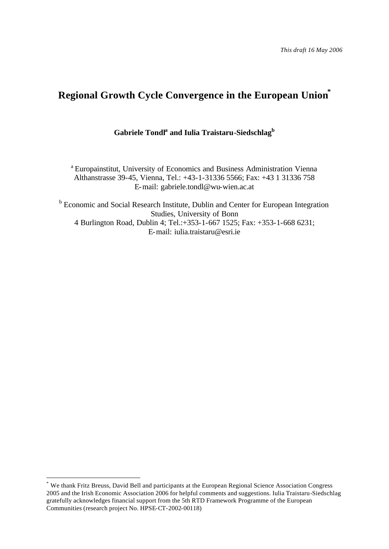*This draft 16 May 2006*

# **Regional Growth Cycle Convergence in the European Union\***

# **Gabriele Tondl<sup>a</sup> and Iulia Traistaru-Siedschlag<sup>b</sup>**

<sup>a</sup> Europainstitut, University of Economics and Business Administration Vienna Althanstrasse 39-45, Vienna, Tel.: +43-1-31336 5566; Fax: +43 1 31336 758 E-mail: gabriele.tondl@wu-wien.ac.at

<sup>b</sup> Economic and Social Research Institute, Dublin and Center for European Integration Studies, University of Bonn 4 Burlington Road, Dublin 4; Tel.:+353-1-667 1525; Fax: +353-1-668 6231; E-mail: iulia.traistaru@esri.ie

l

<sup>\*</sup> We thank Fritz Breuss, David Bell and participants at the European Regional Science Association Congress 2005 and the Irish Economic Association 2006 for helpful comments and suggestions. Iulia Traistaru-Siedschlag gratefully acknowledges financial support from the 5th RTD Framework Programme of the European Communities (research project No. HPSE-CT-2002-00118)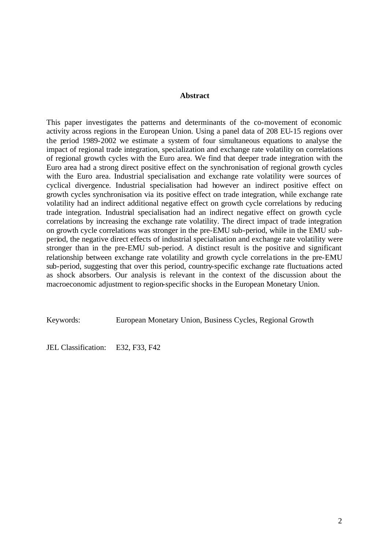#### **Abstract**

This paper investigates the patterns and determinants of the co-movement of economic activity across regions in the European Union. Using a panel data of 208 EU-15 regions over the period 1989-2002 we estimate a system of four simultaneous equations to analyse the impact of regional trade integration, specialization and exchange rate volatility on correlations of regional growth cycles with the Euro area. We find that deeper trade integration with the Euro area had a strong direct positive effect on the synchronisation of regional growth cycles with the Euro area. Industrial specialisation and exchange rate volatility were sources of cyclical divergence. Industrial specialisation had however an indirect positive effect on growth cycles synchronisation via its positive effect on trade integration, while exchange rate volatility had an indirect additional negative effect on growth cycle correlations by reducing trade integration. Industrial specialisation had an indirect negative effect on growth cycle correlations by increasing the exchange rate volatility. The direct impact of trade integration on growth cycle correlations was stronger in the pre-EMU sub-period, while in the EMU subperiod, the negative direct effects of industrial specialisation and exchange rate volatility were stronger than in the pre-EMU sub-period. A distinct result is the positive and significant relationship between exchange rate volatility and growth cycle correla tions in the pre-EMU sub-period, suggesting that over this period, country-specific exchange rate fluctuations acted as shock absorbers. Our analysis is relevant in the context of the discussion about the macroeconomic adjustment to region-specific shocks in the European Monetary Union.

Keywords: European Monetary Union, Business Cycles, Regional Growth

JEL Classification: E32, F33, F42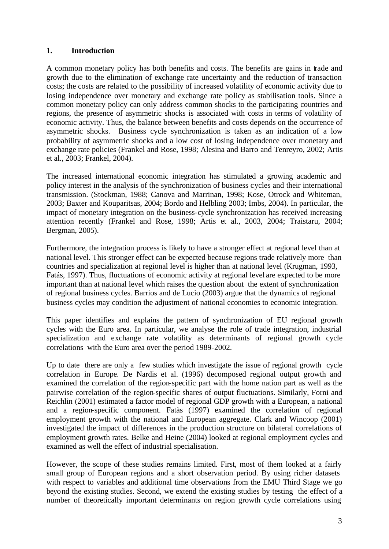#### **1. Introduction**

A common monetary policy has both benefits and costs. The benefits are gains in trade and growth due to the elimination of exchange rate uncertainty and the reduction of transaction costs; the costs are related to the possibility of increased volatility of economic activity due to losing independence over monetary and exchange rate policy as stabilisation tools. Since a common monetary policy can only address common shocks to the participating countries and regions, the presence of asymmetric shocks is associated with costs in terms of volatility of economic activity. Thus, the balance between benefits and costs depends on the occurrence of asymmetric shocks. Business cycle synchronization is taken as an indication of a low probability of asymmetric shocks and a low cost of losing independence over monetary and exchange rate policies (Frankel and Rose, 1998; Alesina and Barro and Tenreyro, 2002; Artis et al., 2003; Frankel, 2004).

The increased international economic integration has stimulated a growing academic and policy interest in the analysis of the synchronization of business cycles and their international transmission. (Stockman, 1988; Canova and Marrinan, 1998; Kose, Otrock and Whiteman, 2003; Baxter and Kouparitsas, 2004; Bordo and Helbling 2003; Imbs, 2004). In particular, the impact of monetary integration on the business-cycle synchronization has received increasing attention recently (Frankel and Rose, 1998; Artis et al., 2003, 2004; Traistaru, 2004; Bergman, 2005).

Furthermore, the integration process is likely to have a stronger effect at regional level than at national level. This stronger effect can be expected because regions trade relatively more than countries and specialization at regional level is higher than at national level (Krugman, 1993, Fatás, 1997). Thus, fluctuations of economic activity at regional level are expected to be more important than at national level which raises the question about the extent of synchronization of regional business cycles. Barrios and de Lucio (2003) argue that the dynamics of regional business cycles may condition the adjustment of national economies to economic integration.

This paper identifies and explains the pattern of synchronization of EU regional growth cycles with the Euro area. In particular, we analyse the role of trade integration, industrial specialization and exchange rate volatility as determinants of regional growth cycle correlations with the Euro area over the period 1989-2002.

Up to date there are only a few studies which investigate the issue of regional growth cycle correlation in Europe. De Nardis et al. (1996) decomposed regional output growth and examined the correlation of the region-specific part with the home nation part as well as the pairwise correlation of the region-specific shares of output fluctuations. Similarly, Forni and Reichlin (2001) estimated a factor model of regional GDP growth with a European, a national and a region-specific component. Fatàs (1997) examined the correlation of regional employment growth with the national and European aggregate. Clark and Wincoop (2001) investigated the impact of differences in the production structure on bilateral correlations of employment growth rates. Belke and Heine (2004) looked at regional employment cycles and examined as well the effect of industrial specialisation.

However, the scope of these studies remains limited. First, most of them looked at a fairly small group of European regions and a short observation period. By using richer datasets with respect to variables and additional time observations from the EMU Third Stage we go beyond the existing studies. Second, we extend the existing studies by testing the effect of a number of theoretically important determinants on region growth cycle correlations using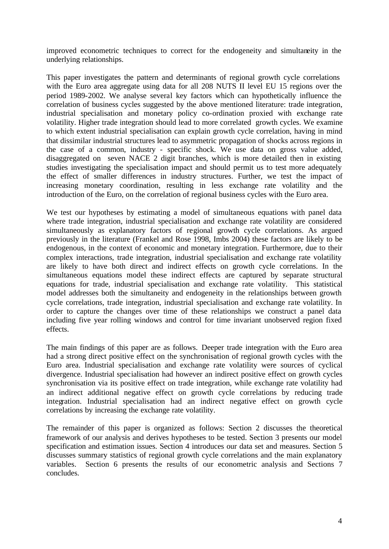improved econometric techniques to correct for the endogeneity and simultaneity in the underlying relationships.

This paper investigates the pattern and determinants of regional growth cycle correlations with the Euro area aggregate using data for all 208 NUTS II level EU 15 regions over the period 1989-2002. We analyse several key factors which can hypothetically influence the correlation of business cycles suggested by the above mentioned literature: trade integration, industrial specialisation and monetary policy co-ordination proxied with exchange rate volatility. Higher trade integration should lead to more correlated growth cycles. We examine to which extent industrial specialisation can explain growth cycle correlation, having in mind that dissimilar industrial structures lead to asymmetric propagation of shocks across regions in the case of a common, industry - specific shock. We use data on gross value added, disaggregated on seven NACE 2 digit branches, which is more detailed then in existing studies investigating the specialisation impact and should permit us to test more adequately the effect of smaller differences in industry structures. Further, we test the impact of increasing monetary coordination, resulting in less exchange rate volatility and the introduction of the Euro, on the correlation of regional business cycles with the Euro area.

We test our hypotheses by estimating a model of simultaneous equations with panel data where trade integration, industrial specialisation and exchange rate volatility are considered simultaneously as explanatory factors of regional growth cycle correlations. As argued previously in the literature (Frankel and Rose 1998, Imbs 2004) these factors are likely to be endogenous, in the context of economic and monetary integration. Furthermore, due to their complex interactions, trade integration, industrial specialisation and exchange rate volatility are likely to have both direct and indirect effects on growth cycle correlations. In the simultaneous equations model these indirect effects are captured by separate structural equations for trade, industrial specialisation and exchange rate volatility. This statistical model addresses both the simultaneity and endogeneity in the relationships between growth cycle correlations, trade integration, industrial specialisation and exchange rate volatility. In order to capture the changes over time of these relationships we construct a panel data including five year rolling windows and control for time invariant unobserved region fixed effects.

The main findings of this paper are as follows. Deeper trade integration with the Euro area had a strong direct positive effect on the synchronisation of regional growth cycles with the Euro area. Industrial specialisation and exchange rate volatility were sources of cyclical divergence. Industrial specialisation had however an indirect positive effect on growth cycles synchronisation via its positive effect on trade integration, while exchange rate volatility had an indirect additional negative effect on growth cycle correlations by reducing trade integration. Industrial specialisation had an indirect negative effect on growth cycle correlations by increasing the exchange rate volatility.

The remainder of this paper is organized as follows: Section 2 discusses the theoretical framework of our analysis and derives hypotheses to be tested. Section 3 presents our model specification and estimation issues. Section 4 introduces our data set and measures. Section 5 discusses summary statistics of regional growth cycle correlations and the main explanatory variables. Section 6 presents the results of our econometric analysis and Sections 7 concludes.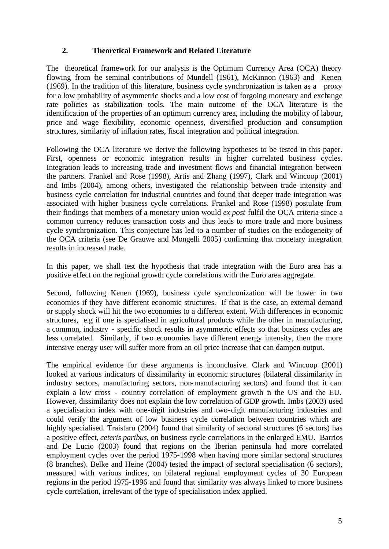### **2. Theoretical Framework and Related Literature**

The theoretical framework for our analysis is the Optimum Currency Area (OCA) theory flowing from the seminal contributions of Mundell (1961), McKinnon (1963) and Kenen (1969). In the tradition of this literature, business cycle synchronization is taken as a proxy for a low probability of asymmetric shocks and a low cost of forgoing monetary and exchange rate policies as stabilization tools. The main outcome of the OCA literature is the identification of the properties of an optimum currency area, including the mobility of labour, price and wage flexibility, economic openness, diversified production and consumption structures, similarity of inflation rates, fiscal integration and political integration.

Following the OCA literature we derive the following hypotheses to be tested in this paper. First, openness or economic integration results in higher correlated business cycles. Integration leads to increasing trade and investment flows and financial integration between the partners. Frankel and Rose (1998), Artis and Zhang (1997), Clark and Wincoop (2001) and Imbs (2004), among others, investigated the relationship between trade intensity and business cycle correlation for industrial countries and found that deeper trade integration was associated with higher business cycle correlations. Frankel and Rose (1998) postulate from their findings that members of a monetary union would *ex post* fulfil the OCA criteria since a common currency reduces transaction costs and thus leads to more trade and more business cycle synchronization. This conjecture has led to a number of studies on the endogeneity of the OCA criteria (see De Grauwe and Mongelli 2005) confirming that monetary integration results in increased trade.

In this paper, we shall test the hypothesis that trade integration with the Euro area has a positive effect on the regional growth cycle correlations with the Euro area aggregate.

Second, following Kenen (1969), business cycle synchronization will be lower in two economies if they have different economic structures. If that is the case, an external demand or supply shock will hit the two economies to a different extent. With differences in economic structures, e.g if one is specialised in agricultural products while the other in manufacturing, a common, industry - specific shock results in asymmetric effects so that business cycles are less correlated. Similarly, if two economies have different energy intensity, then the more intensive energy user will suffer more from an oil price increase that can dampen output.

The empirical evidence for these arguments is inconclusive. Clark and Wincoop (2001) looked at various indicators of dissimilarity in economic structures (bilateral dissimilarity in industry sectors, manufacturing sectors, non-manufacturing sectors) and found that it can explain a low cross - country correlation of employment growth in the US and the EU. However, dissimilarity does not explain the low correlation of GDP growth. Imbs (2003) used a specialisation index with one-digit industries and two-digit manufacturing industries and could verify the argument of low business cycle correlation between countries which are highly specialised. Traistaru (2004) found that similarity of sectoral structures (6 sectors) has a positive effect, *ceteris paribus,* on business cycle correlations in the enlarged EMU. Barrios and De Lucio (2003) found that regions on the Iberian peninsula had more correlated employment cycles over the period 1975-1998 when having more similar sectoral structures (8 branches). Belke and Heine (2004) tested the impact of sectoral specialisation (6 sectors), measured with various indices, on bilateral regional employment cycles of 30 European regions in the period 1975-1996 and found that similarity was always linked to more business cycle correlation, irrelevant of the type of specialisation index applied.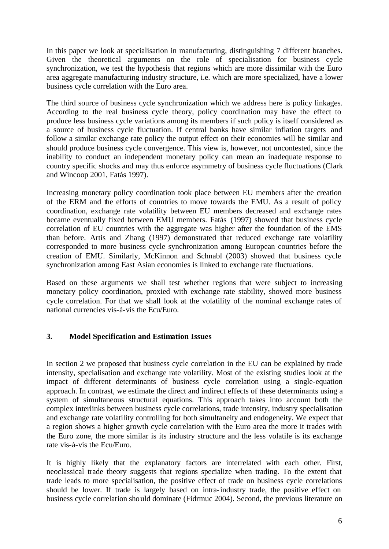In this paper we look at specialisation in manufacturing, distinguishing 7 different branches. Given the theoretical arguments on the role of specialisation for business cycle synchronization, we test the hypothesis that regions which are more dissimilar with the Euro area aggregate manufacturing industry structure, i.e. which are more specialized, have a lower business cycle correlation with the Euro area.

The third source of business cycle synchronization which we address here is policy linkages. According to the real business cycle theory, policy coordination may have the effect to produce less business cycle variations among its members if such policy is itself considered as a source of business cycle fluctuation. If central banks have similar inflation targets and follow a similar exchange rate policy the output effect on their economies will be similar and should produce business cycle convergence. This view is, however, not uncontested, since the inability to conduct an independent monetary policy can mean an inadequate response to country specific shocks and may thus enforce asymmetry of business cycle fluctuations (Clark and Wincoop 2001, Fatás 1997).

Increasing monetary policy coordination took place between EU members after the creation of the ERM and the efforts of countries to move towards the EMU. As a result of policy coordination, exchange rate volatility between EU members decreased and exchange rates became eventually fixed between EMU members. Fatás (1997) showed that business cycle correlation of EU countries with the aggregate was higher after the foundation of the EMS than before. Artis and Zhang (1997) demonstrated that reduced exchange rate volatility corresponded to more business cycle synchronization among European countries before the creation of EMU. Similarly, McKinnon and Schnabl (2003) showed that business cycle synchronization among East Asian economies is linked to exchange rate fluctuations.

Based on these arguments we shall test whether regions that were subject to increasing monetary policy coordination, proxied with exchange rate stability, showed more business cycle correlation. For that we shall look at the volatility of the nominal exchange rates of national currencies vis-à-vis the Ecu/Euro.

### **3. Model Specification and Estimation Issues**

In section 2 we proposed that business cycle correlation in the EU can be explained by trade intensity, specialisation and exchange rate volatility. Most of the existing studies look at the impact of different determinants of business cycle correlation using a single-equation approach. In contrast, we estimate the direct and indirect effects of these determinants using a system of simultaneous structural equations. This approach takes into account both the complex interlinks between business cycle correlations, trade intensity, industry specialisation and exchange rate volatility controlling for both simultaneity and endogeneity. We expect that a region shows a higher growth cycle correlation with the Euro area the more it trades with the Euro zone, the more similar is its industry structure and the less volatile is its exchange rate vis-à-vis the Ecu/Euro.

It is highly likely that the explanatory factors are interrelated with each other. First, neoclassical trade theory suggests that regions specialize when trading. To the extent that trade leads to more specialisation, the positive effect of trade on business cycle correlations should be lower. If trade is largely based on intra-industry trade, the positive effect on business cycle correlation should dominate (Fidrmuc 2004). Second, the previous literature on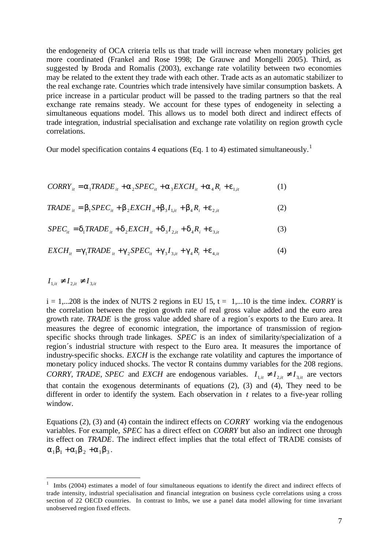the endogeneity of OCA criteria tells us that trade will increase when monetary policies get more coordinated (Frankel and Rose 1998; De Grauwe and Mongelli 2005). Third, as suggested by Broda and Romalis (2003), exchange rate volatility between two economies may be related to the extent they trade with each other. Trade acts as an automatic stabilizer to the real exchange rate. Countries which trade intensively have similar consumption baskets. A price increase in a particular product will be passed to the trading partners so that the real exchange rate remains steady. We account for these types of endogeneity in selecting a simultaneous equations model. This allows us to model both direct and indirect effects of trade integration, industrial specialisation and exchange rate volatility on region growth cycle correlations.

Our model specification contains 4 equations (Eq. 1 to 4) estimated simultaneously.<sup>1</sup>

$$
CORRY_{it} = \mathbf{a}_1 TRADE_{it} + \mathbf{a}_2 SPEC_{it} + \mathbf{a}_3 EXCH_{it} + \mathbf{a}_4 R_i + \mathbf{e}_{1,it}
$$
(1)

$$
TRADE_{it} = \mathbf{b}_1 SPEC_{it} + \mathbf{b}_2 EXCH_{it} + \mathbf{b}_3 I_{1,it} + \mathbf{b}_4 R_i + \mathbf{e}_{2,it}
$$
 (2)

$$
SPEC_{it} = \mathbf{d}_1TRADE_{it} + \mathbf{d}_2 EXCH_{it} + \mathbf{d}_3I_{2,it} + \mathbf{d}_4R_i + \mathbf{e}_{3,it}
$$
(3)

$$
EXCH_{it} = g_1TRADE_{it} + g_2 SPEC_{it} + g_3 I_{3,it} + g_4 R_i + e_{4,it}
$$
(4)

 $I_{1, it} \neq I_{2, it} \neq I_{3, it}$ 

l

 $i = 1,...208$  is the index of NUTS 2 regions in EU 15,  $t = 1,...10$  is the time index. *CORRY* is the correlation between the region growth rate of real gross value added and the euro area growth rate. *TRADE* is the gross value added share of a region´s exports to the Euro area. It measures the degree of economic integration, the importance of transmission of regionspecific shocks through trade linkages. *SPEC* is an index of similarity/specialization of a region´s industrial structure with respect to the Euro area. It measures the importance of industry-specific shocks. *EXCH* is the exchange rate volatility and captures the importance of monetary policy induced shocks. The vector R contains dummy variables for the 208 regions. *CORRY, TRADE, SPEC* and *EXCH* are endogenous variables.  $I_{1, it} \neq I_{2, it} \neq I_{3, it}$  are vectors that contain the exogenous determinants of equations (2), (3) and (4), They need to be different in order to identify the system. Each observation in *t* relates to a five-year rolling window.

Equations (2), (3) and (4) contain the indirect effects on *CORRY* working via the endogenous variables. For example, *SPEC* has a direct effect on *CORRY* but also an indirect one through its effect on *TRADE*. The indirect effect implies that the total effect of TRADE consists of  $a_1b_1 + a_1b_2 + a_1b_3$ .

<sup>1</sup> Imbs (2004) estimates a model of four simultaneous equations to identify the direct and indirect effects of trade intensity, industrial specialisation and financial integration on business cycle correlations using a cross section of 22 OECD countries. In contrast to Imbs, we use a panel data model allowing for time invariant unobserved region fixed effects.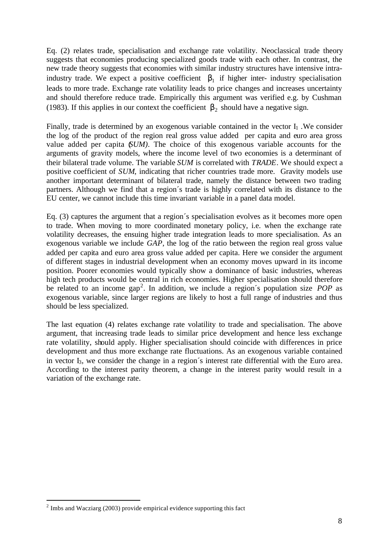Eq. (2) relates trade, specialisation and exchange rate volatility. Neoclassical trade theory suggests that economies producing specialized goods trade with each other. In contrast, the new trade theory suggests that economies with similar industry structures have intensive intraindustry trade. We expect a positive coefficient  $\mathbf{b}_1$  if higher inter- industry specialisation leads to more trade. Exchange rate volatility leads to price changes and increases uncertainty and should therefore reduce trade. Empirically this argument was verified e.g. by Cushman (1983). If this applies in our context the coefficient  $\mathbf{b}_2$  should have a negative sign.

Finally, trade is determined by an exogenous variable contained in the vector I<sub>1</sub>. We consider the log of the product of the region real gross value added per capita and euro area gross value added per capita (*SUM)*. The choice of this exogenous variable accounts for the arguments of gravity models, where the income level of two economies is a determinant of their bilateral trade volume. The variable *SUM* is correlated with *TRADE*. We should expect a positive coefficient of *SUM*, indicating that richer countries trade more. Gravity models use another important determinant of bilateral trade, namely the distance between two trading partners. Although we find that a region´s trade is highly correlated with its distance to the EU center, we cannot include this time invariant variable in a panel data model.

Eq. (3) captures the argument that a region´s specialisation evolves as it becomes more open to trade. When moving to more coordinated monetary policy, i.e. when the exchange rate volatility decreases, the ensuing higher trade integration leads to more specialisation. As an exogenous variable we include *GAP*, the log of the ratio between the region real gross value added per capita and euro area gross value added per capita. Here we consider the argument of different stages in industrial development when an economy moves upward in its income position. Poorer economies would typically show a dominance of basic industries, whereas high tech products would be central in rich economies. Higher specialisation should therefore be related to an income gap<sup>2</sup>. In addition, we include a region's population size *POP* as exogenous variable, since larger regions are likely to host a full range of industries and thus should be less specialized.

The last equation (4) relates exchange rate volatility to trade and specialisation. The above argument, that increasing trade leads to similar price development and hence less exchange rate volatility, should apply. Higher specialisation should coincide with differences in price development and thus more exchange rate fluctuations. As an exogenous variable contained in vector I3, we consider the change in a region´s interest rate differential with the Euro area. According to the interest parity theorem, a change in the interest parity would result in a variation of the exchange rate.

l

 $2 \text{ Imbs}$  and Wacziarg (2003) provide empirical evidence supporting this fact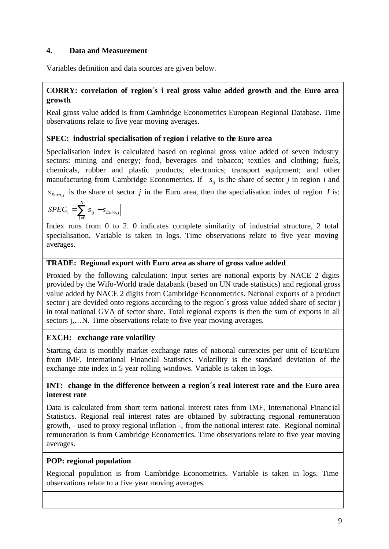# **4. Data and Measurement**

Variables definition and data sources are given below.

# **CORRY: correlation of region´s i real gross value added growth and the Euro area growth**

Real gross value added is from Cambridge Econometrics European Regional Database. Time observations relate to five year moving averages.

# **SPEC: industrial specialisation of region i relative to the Euro area**

Specialisation index is calculated based on regional gross value added of seven industry sectors: mining and energy; food, beverages and tobacco; textiles and clothing; fuels, chemicals, rubber and plastic products; electronics; transport equipment; and other manufacturing from Cambridge Econometrics. If  $s_{ij}$  is the share of sector *j* in region *i* and

 $S_{Euro, j}$  is the share of sector *j* in the Euro area, then the specialisation index of region *I* is:

$$
SPEC_i = \sum_{j=0}^{N} \left| s_{ij} - s_{Euro,j} \right|
$$

Index runs from 0 to 2. 0 indicates complete similarity of industrial structure, 2 total specialisation. Variable is taken in logs. Time observations relate to five year moving averages.

# **TRADE: Regional export with Euro area as share of gross value added**

Proxied by the following calculation: Input series are national exports by NACE 2 digits provided by the Wifo-World trade databank (based on UN trade statistics) and regional gross value added by NACE 2 digits from Cambridge Econometrics. National exports of a product sector j are devided onto regions according to the region's gross value added share of sector j in total national GVA of sector share. Total regional exports is then the sum of exports in all sectors *j*,...N. Time observations relate to five year moving averages.

# **EXCH: exchange rate volatility**

Starting data is monthly market exchange rates of national currencies per unit of Ecu/Euro from IMF, International Financial Statistics. Volatility is the standard deviation of the exchange rate index in 5 year rolling windows. Variable is taken in logs.

# **INT: change in the difference between a region´s real interest rate and the Euro area interest rate**

Data is calculated from short term national interest rates from IMF, International Financ ial Statistics. Regional real interest rates are obtained by subtracting regional remuneration growth, - used to proxy regional inflation -, from the national interest rate. Regional nominal remuneration is from Cambridge Econometrics. Time observations relate to five year moving averages.

# **POP: regional population**

Regional population is from Cambridge Econometrics. Variable is taken in logs. Time observations relate to a five year moving averages.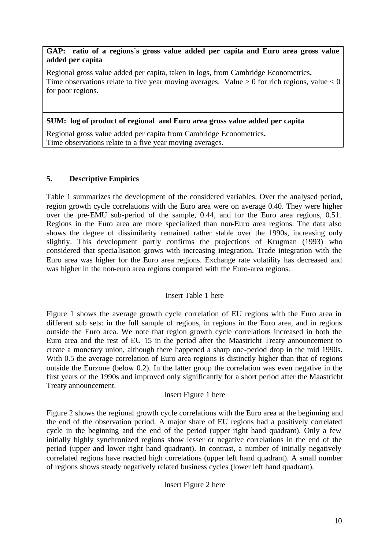### **GAP: ratio of a regions´s gross value added per capita and Euro area gross value added per capita**

Regional gross value added per capita, taken in logs, from Cambridge Econometrics**.**  Time observations relate to five year moving averages. Value  $> 0$  for rich regions, value  $< 0$ for poor regions.

# **SUM: log of product of regional and Euro area gross value added per capita**

Regional gross value added per capita from Cambridge Econometrics**.**  Time observations relate to a five year moving averages.

# **5. Descriptive Empirics**

Table 1 summarizes the development of the considered variables. Over the analysed period, region growth cycle correlations with the Euro area were on average 0.40. They were higher over the pre-EMU sub-period of the sample, 0.44, and for the Euro area regions, 0.51. Regions in the Euro area are more specialized than non-Euro area regions. The data also shows the degree of dissimilarity remained rather stable over the 1990s, increasing only slightly. This development partly confirms the projections of Krugman (1993) who considered that specialisation grows with increasing integration. Trade integration with the Euro area was higher for the Euro area regions. Exchange rate volatility has decreased and was higher in the non-euro area regions compared with the Euro-area regions.

### Insert Table 1 here

Figure 1 shows the average growth cycle correlation of EU regions with the Euro area in different sub sets: in the full sample of regions, in regions in the Euro area, and in regions outside the Euro area. We note that region growth cycle correlations increased in both the Euro area and the rest of EU 15 in the period after the Maastricht Treaty announcement to create a monetary union, although there happened a sharp one-period drop in the mid 1990s. With 0.5 the average correlation of Euro area regions is distinctly higher than that of regions outside the Eurzone (below 0.2). In the latter group the correlation was even negative in the first years of the 1990s and improved only significantly for a short period after the Maastricht Treaty announcement.

### Insert Figure 1 here

Figure 2 shows the regional growth cycle correlations with the Euro area at the beginning and the end of the observation period. A major share of EU regions had a positively correlated cycle in the beginning and the end of the period (upper right hand quadrant). Only a few initially highly synchronized regions show lesser or negative correlations in the end of the period (upper and lower right hand quadrant). In contrast, a number of initially negatively correlated regions have reached high correlations (upper left hand quadrant). A small number of regions shows steady negatively related business cycles (lower left hand quadrant).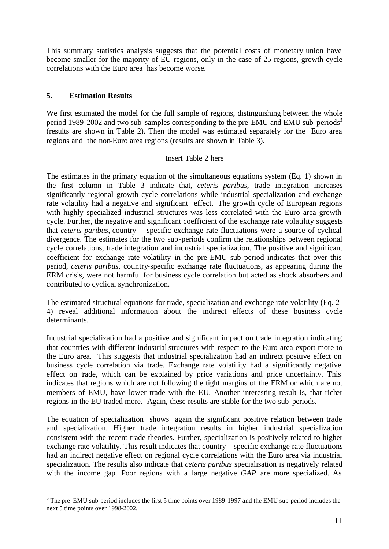This summary statistics analysis suggests that the potential costs of monetary union have become smaller for the majority of EU regions, only in the case of 25 regions, growth cycle correlations with the Euro area has become worse.

#### **5. Estimation Results**

We first estimated the model for the full sample of regions, distinguishing between the whole period 1989-2002 and two sub-samples corresponding to the pre-EMU and EMU sub-periods<sup>3</sup> (results are shown in Table 2). Then the model was estimated separately for the Euro area regions and the non-Euro area regions (results are shown in Table 3).

#### Insert Table 2 here

The estimates in the primary equation of the simultaneous equations system (Eq. 1) shown in the first column in Table 3 indicate that, *ceteris paribus*, trade integration increases significantly regional growth cycle correlations while industrial specialization and exchange rate volatility had a negative and significant effect. The growth cycle of European regions with highly specialized industrial structures was less correlated with the Euro area growth cycle. Further, the negative and significant coefficient of the exchange rate volatility suggests that *ceteris paribus*, country – specific exchange rate fluctuations were a source of cyclical divergence. The estimates for the two sub-periods confirm the relationships between regional cycle correlations, trade integration and industrial specialization. The positive and significant coefficient for exchange rate volatility in the pre-EMU sub-period indicates that over this period, *ceteris paribus*, country-specific exchange rate fluctuations, as appearing during the ERM crisis, were not harmful for business cycle correlation but acted as shock absorbers and contributed to cyclical synchronization.

The estimated structural equations for trade, specialization and exchange rate volatility (Eq. 2- 4) reveal additional information about the indirect effects of these business cycle determinants.

Industrial specialization had a positive and significant impact on trade integration indicating that countries with different industrial structures with respect to the Euro area export more to the Euro area. This suggests that industrial specialization had an indirect positive effect on business cycle correlation via trade. Exchange rate volatility had a significantly negative effect on trade, which can be explained by price variations and price uncertainty. This indicates that regions which are not following the tight margins of the ERM or which are not members of EMU, have lower trade with the EU. Another interesting result is, that richer regions in the EU traded more. Again, these results are stable for the two sub-periods.

The equation of specialization shows again the significant positive relation between trade and specialization. Higher trade integration results in higher industrial specialization consistent with the recent trade theories. Further, specialization is positively related to higher exchange rate volatility. This result indicates that country - specific exchange rate fluctuations had an indirect negative effect on regional cycle correlations with the Euro area via industrial specialization. The results also indicate that *ceteris paribus* specialisation is negatively related with the income gap. Poor regions with a large negative *GAP* are more specialized. As

<sup>&</sup>lt;sup>3</sup> The pre-EMU sub-period includes the first 5 time points over 1989-1997 and the EMU sub-period includes the next 5 time points over 1998-2002.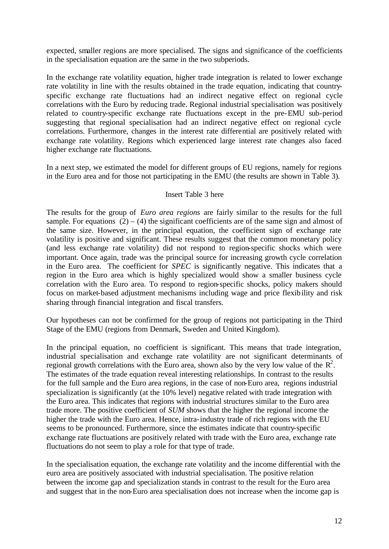expected, smaller regions are more specialised. The signs and significance of the coefficients in the specialisation equation are the same in the two subperiods.

In the exchange rate volatility equation, higher trade integration is related to lower exchange rate volatility in line with the results obtained in the trade equation, indicating that countryspecific exchange rate fluctuations had an indirect negative effect on regional cycle correlations with the Euro by reducing trade. Regional industrial specialisation was positively related to country-specific exchange rate fluctuations except in the pre-EMU sub-period suggesting that regional specialisation had an indirect negative effect on regional cycle correlations. Furthermore, changes in the interest rate differential are positively related with exchange rate volatility. Regions which experienced large interest rate changes also faced higher exchange rate fluctuations.

In a next step, we estimated the model for different groups of EU regions, namely for regions in the Euro area and for those not participating in the EMU (the results are shown in Table 3).

#### Insert Table 3 here

The results for the group of *Euro area regions* are fairly similar to the results for the full sample. For equations  $(2) - (4)$  the significant coefficients are of the same sign and almost of the same size. However, in the principal equation, the coefficient sign of exchange rate volatility is positive and significant. These results suggest that the common monetary policy (and less exchange rate volatility) did not respond to region-specific shocks which were important. Once again, trade was the principal source for increasing growth cycle correlation in the Euro area. The coefficient for *SPEC* is significantly negative. This indicates that a region in the Euro area which is highly specialized would show a smaller business cycle correlation with the Euro area. To respond to region-specific shocks, policy makers should focus on market-based adjustment mechanisms including wage and price flexibility and risk sharing through financial integration and fiscal transfers.

Our hypotheses can not be confirmed for the group of regions not participating in the Third Stage of the EMU (regions from Denmark, Sweden and United Kingdom).

In the principal equation, no coefficient is significant. This means that trade integration, industrial specialisation and exchange rate volatility are not significant determinants of regional growth correlations with the Euro area, shown also by the very low value of the  $\mathbb{R}^2$ . The estimates of the trade equation reveal interesting relationships. In contrast to the results for the full sample and the Euro area regions, in the case of non-Euro area, regions industrial specialization is significantly (at the 10% level) negative related with trade integration with the Euro area. This indicates that regions with industrial structures similar to the Euro area trade more. The positive coefficient of *SUM* shows that the higher the regional income the higher the trade with the Euro area. Hence, intra-industry trade of rich regions with the EU seems to be pronounced. Furthermore, since the estimates indicate that country-specific exchange rate fluctuations are positively related with trade with the Euro area, exchange rate fluctuations do not seem to play a role for that type of trade.

In the specialisation equation, the exchange rate volatility and the income differential with the euro area are positively associated with industrial specialisation. The positive relation between the income gap and specialization stands in contrast to the result for the Euro area and suggest that in the non-Euro area specialisation does not increase when the income gap is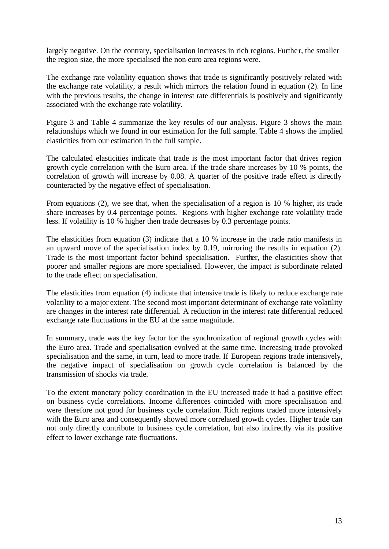largely negative. On the contrary, specialisation increases in rich regions. Further, the smaller the region size, the more specialised the non-euro area regions were.

The exchange rate volatility equation shows that trade is significantly positively related with the exchange rate volatility, a result which mirrors the relation found in equation (2). In line with the previous results, the change in interest rate differentials is positively and significantly associated with the exchange rate volatility.

Figure 3 and Table 4 summarize the key results of our analysis. Figure 3 shows the main relationships which we found in our estimation for the full sample. Table 4 shows the implied elasticities from our estimation in the full sample.

The calculated elasticities indicate that trade is the most important factor that drives region growth cycle correlation with the Euro area. If the trade share increases by 10 % points, the correlation of growth will increase by 0.08. A quarter of the positive trade effect is directly counteracted by the negative effect of specialisation.

From equations (2), we see that, when the specialisation of a region is 10 % higher, its trade share increases by 0.4 percentage points. Regions with higher exchange rate volatility trade less. If volatility is 10 % higher then trade decreases by 0.3 percentage points.

The elasticities from equation (3) indicate that a 10 % increase in the trade ratio manifests in an upward move of the specialisation index by 0.19, mirroring the results in equation (2). Trade is the most important factor behind specialisation. Further, the elasticities show that poorer and smaller regions are more specialised. However, the impact is subordinate related to the trade effect on specialisation.

The elasticities from equation (4) indicate that intensive trade is likely to reduce exchange rate volatility to a major extent. The second most important determinant of exchange rate volatility are changes in the interest rate differential. A reduction in the interest rate differential reduced exchange rate fluctuations in the EU at the same magnitude.

In summary, trade was the key factor for the synchronization of regional growth cycles with the Euro area. Trade and specialisation evolved at the same time. Increasing trade provoked specialisation and the same, in turn, lead to more trade. If European regions trade intensively, the negative impact of specialisation on growth cycle correlation is balanced by the transmission of shocks via trade.

To the extent monetary policy coordination in the EU increased trade it had a positive effect on business cycle correlations. Income differences coincided with more specialisation and were therefore not good for business cycle correlation. Rich regions traded more intensively with the Euro area and consequently showed more correlated growth cycles. Higher trade can not only directly contribute to business cycle correlation, but also indirectly via its positive effect to lower exchange rate fluctuations.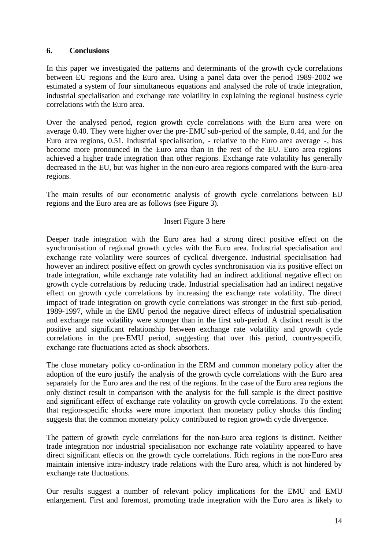#### **6. Conclusions**

In this paper we investigated the patterns and determinants of the growth cycle correlations between EU regions and the Euro area. Using a panel data over the period 1989-2002 we estimated a system of four simultaneous equations and analysed the role of trade integration, industrial specialisation and exchange rate volatility in explaining the regional business cycle correlations with the Euro area.

Over the analysed period, region growth cycle correlations with the Euro area were on average 0.40. They were higher over the pre-EMU sub-period of the sample, 0.44, and for the Euro area regions, 0.51. Industrial specialisation, - relative to the Euro area average -, has become more pronounced in the Euro area than in the rest of the EU. Euro area regions achieved a higher trade integration than other regions. Exchange rate volatility has generally decreased in the EU, but was higher in the non-euro area regions compared with the Euro-area regions.

The main results of our econometric analysis of growth cycle correlations between EU regions and the Euro area are as follows (see Figure 3).

#### Insert Figure 3 here

Deeper trade integration with the Euro area had a strong direct positive effect on the synchronisation of regional growth cycles with the Euro area. Industrial specialisation and exchange rate volatility were sources of cyclical divergence. Industrial specialisation had however an indirect positive effect on growth cycles synchronisation via its positive effect on trade integration, while exchange rate volatility had an indirect additional negative effect on growth cycle correlations by reducing trade. Industrial specialisation had an indirect negative effect on growth cycle correlations by increasing the exchange rate volatility. The direct impact of trade integration on growth cycle correlations was stronger in the first sub-period, 1989-1997, while in the EMU period the negative direct effects of industrial specialisation and exchange rate volatility were stronger than in the first sub-period. A distinct result is the positive and significant relationship between exchange rate vola tility and growth cycle correlations in the pre-EMU period, suggesting that over this period, country-specific exchange rate fluctuations acted as shock absorbers.

The close monetary policy co-ordination in the ERM and common monetary policy after the adoption of the euro justify the analysis of the growth cycle correlations with the Euro area separately for the Euro area and the rest of the regions. In the case of the Euro area regions the only distinct result in comparison with the analysis for the full sample is the direct positive and significant effect of exchange rate volatility on growth cycle correlations. To the extent that region-specific shocks were more important than monetary policy shocks this finding suggests that the common monetary policy contributed to region growth cycle divergence.

The pattern of growth cycle correlations for the non-Euro area regions is distinct. Neither trade integration nor industrial specialisation nor exchange rate volatility appeared to have direct significant effects on the growth cycle correlations. Rich regions in the non-Euro area maintain intensive intra-industry trade relations with the Euro area, which is not hindered by exchange rate fluctuations.

Our results suggest a number of relevant policy implications for the EMU and EMU enlargement. First and foremost, promoting trade integration with the Euro area is likely to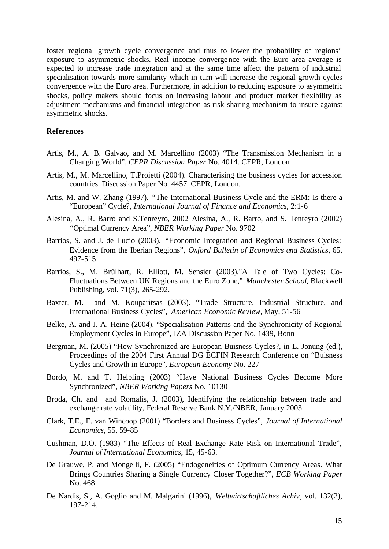foster regional growth cycle convergence and thus to lower the probability of regions' exposure to asymmetric shocks. Real income convergence with the Euro area average is expected to increase trade integration and at the same time affect the pattern of industrial specialisation towards more similarity which in turn will increase the regional growth cycles convergence with the Euro area. Furthermore, in addition to reducing exposure to asymmetric shocks, policy makers should focus on increasing labour and product market flexibility as adjustment mechanisms and financial integration as risk-sharing mechanism to insure against asymmetric shocks.

#### **References**

- Artis, M., A. B. Galvao, and M. Marcellino (2003) "The Transmission Mechanism in a Changing World", *CEPR Discussion Paper* No. 4014. CEPR, London
- Artis, M., M. Marcellino, T.Proietti (2004). Characterising the business cycles for accession countries. Discussion Paper No. 4457. CEPR, London.
- Artis, M. and W. Zhang (1997). "The International Business Cycle and the ERM: Is there a "European" Cycle?, *International Journal of Finance and Economics*, 2:1-6
- Alesina, A., R. Barro and S.Tenreyro, 2002 Alesina, A., R. Barro, and S. Tenreyro (2002) "Optimal Currency Area", *NBER Working Paper* No. 9702
- Barrios, S. and J. de Lucio (2003). "Economic Integration and Regional Business Cycles: Evidence from the Iberian Regions", *Oxford Bulletin of Economics and Statistics*, 65, 497-515
- Barrios, S., M. Brülhart, R. Elliott, M. Sensier (2003)."A Tale of Two Cycles: Co-Fluctuations Between UK Regions and the Euro Zone," *Manchester School*, Blackwell Publishing, vol. 71(3), 265-292.
- Baxter, M. and M. Kouparitsas (2003). "Trade Structure, Industrial Structure, and International Business Cycles", *American Economic Review*, May, 51-56
- Belke, A. and J. A. Heine (2004). "Specialisation Patterns and the Synchronicity of Regional Employment Cycles in Europe", IZA Discussion Paper No. 1439, Bonn
- Bergman, M. (2005) "How Synchronized are European Buisness Cycles?, in L. Jonung (ed.), Proceedings of the 2004 First Annual DG ECFIN Research Conference on "Buisness Cycles and Growth in Europe", *European Economy* No. 227
- Bordo, M. and T. Helbling (2003) "Have National Business Cycles Become More Synchronized", *NBER Working Papers* No. 10130
- Broda, Ch. and and Romalis, J. (2003), Identifying the relationship between trade and exchange rate volatility, Federal Reserve Bank N.Y./NBER, January 2003.
- Clark, T.E., E. van Wincoop (2001) "Borders and Business Cycles", *Journal of International Economics*, 55, 59-85
- Cushman, D.O. (1983) "The Effects of Real Exchange Rate Risk on International Trade", *Journal of International Economics*, 15, 45-63.
- De Grauwe, P. and Mongelli, F. (2005) "Endogeneities of Optimum Currency Areas. What Brings Countries Sharing a Single Currency Closer Together?", *ECB Working Paper*  No. 468
- De Nardis, S., A. Goglio and M. Malgarini (1996), *Weltwirtschaftliches Achiv*, vol. 132(2), 197-214.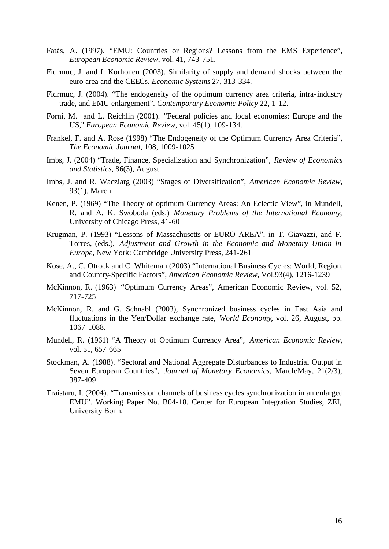- Fatás, A. (1997). "EMU: Countries or Regions? Lessons from the EMS Experience", *European Economic Review*, vol. 41, 743-751.
- Fidrmuc, J. and I. Korhonen (2003). Similarity of supply and demand shocks between the euro area and the CEECs. *Economic Systems* 27, 313-334.
- Fidrmuc, J. (2004). "The endogeneity of the optimum currency area criteria, intra-industry trade, and EMU enlargement". *Contemporary Economic Policy* 22, 1-12.
- Forni, M. and L. Reichlin (2001). "Federal policies and local economies: Europe and the US," *European Economic Review*, vol. 45(1), 109-134.
- Frankel, F. and A. Rose (1998) "The Endogeneity of the Optimum Currency Area Criteria", *The Economic Journal*, 108, 1009-1025
- Imbs, J. (2004) "Trade, Finance, Specialization and Synchronization", *Review of Economics and Statistics*, 86(3), August
- Imbs, J. and R. Wacziarg (2003) "Stages of Diversification", *American Economic Review*, 93(1), March
- Kenen, P. (1969) "The Theory of optimum Currency Areas: An Eclectic View", in Mundell, R. and A. K. Swoboda (eds.) *Monetary Problems of the International Economy*, University of Chicago Press, 41-60
- Krugman, P. (1993) "Lessons of Massachusetts or EURO AREA", in T. Giavazzi, and F. Torres, (eds.), *Adjustment and Growth in the Economic and Monetary Union in Europe*, New York: Cambridge University Press, 241-261
- Kose, A., C. Otrock and C. Whiteman (2003) "International Business Cycles: World, Region, and Country-Specific Factors", *American Economic Review*, Vol.93(4), 1216-1239
- McKinnon, R. (1963) "Optimum Currency Areas", American Economic Review, vol. 52, 717-725
- McKinnon, R. and G. Schnabl (2003), Synchronized business cycles in East Asia and fluctuations in the Yen/Dollar exchange rate, *World Economy*, vol. 26, August, pp. 1067-1088.
- Mundell, R. (1961) "A Theory of Optimum Currency Area", *American Economic Review*, vol. 51, 657-665
- Stockman, A. (1988). "Sectoral and National Aggregate Disturbances to Industrial Output in Seven European Countries", *Journal of Monetary Economics*, March/May, 21(2/3), 387-409
- Traistaru, I. (2004). "Transmission channels of business cycles synchronization in an enlarged EMU". Working Paper No. B04-18. Center for European Integration Studies, ZEI, University Bonn.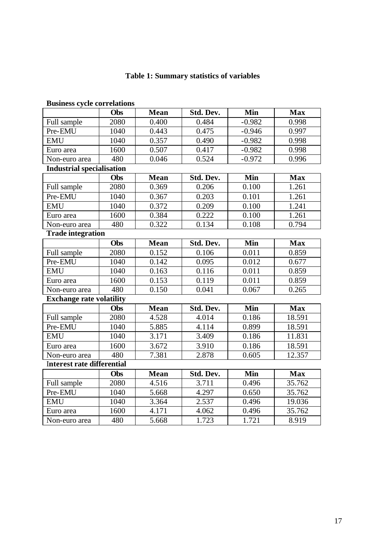# **Table 1: Summary statistics of variables**

| DUSINESS CYCLE COLLETATIONS       |      |             |           |            |            |
|-----------------------------------|------|-------------|-----------|------------|------------|
|                                   | Obs  | <b>Mean</b> | Std. Dev. | Min        | <b>Max</b> |
| Full sample                       | 2080 | 0.400       | 0.484     | $-0.982$   | 0.998      |
| Pre-EMU                           | 1040 | 0.443       | 0.475     | $-0.946$   | 0.997      |
| <b>EMU</b>                        | 1040 | 0.357       | 0.490     | $-0.982$   | 0.998      |
| Euro area                         | 1600 | 0.507       | 0.417     | $-0.982$   | 0.998      |
| Non-euro area                     | 480  | 0.046       | 0.524     | $-0.972$   | 0.996      |
| <b>Industrial specialisation</b>  |      |             |           |            |            |
|                                   | Obs  | <b>Mean</b> | Std. Dev. | <b>Min</b> | <b>Max</b> |
| Full sample                       | 2080 | 0.369       | 0.206     | 0.100      | 1.261      |
| Pre-EMU                           | 1040 | 0.367       | 0.203     | 0.101      | 1.261      |
| <b>EMU</b>                        | 1040 | 0.372       | 0.209     | 0.100      | 1.241      |
| Euro area                         | 1600 | 0.384       | 0.222     | 0.100      | 1.261      |
| Non-euro area                     | 480  | 0.322       | 0.134     | 0.108      | 0.794      |
| <b>Trade integration</b>          |      |             |           |            |            |
|                                   | Obs  | Mean        | Std. Dev. | <b>Min</b> | <b>Max</b> |
| Full sample                       | 2080 | 0.152       | 0.106     | 0.011      | 0.859      |
| Pre-EMU                           | 1040 | 0.142       | 0.095     | 0.012      | 0.677      |
| <b>EMU</b>                        | 1040 | 0.163       | 0.116     | 0.011      | 0.859      |
| Euro area                         | 1600 | 0.153       | 0.119     | 0.011      | 0.859      |
| Non-euro area                     | 480  | 0.150       | 0.041     | 0.067      | 0.265      |
| <b>Exchange rate volatility</b>   |      |             |           |            |            |
|                                   | Obs  | <b>Mean</b> | Std. Dev. | <b>Min</b> | <b>Max</b> |
| Full sample                       | 2080 | 4.528       | 4.014     | 0.186      | 18.591     |
| Pre-EMU                           | 1040 | 5.885       | 4.114     | 0.899      | 18.591     |
| <b>EMU</b>                        | 1040 | 3.171       | 3.409     | 0.186      | 11.831     |
| Euro area                         | 1600 | 3.672       | 3.910     | 0.186      | 18.591     |
| Non-euro area                     | 480  | 7.381       | 2.878     | 0.605      | 12.357     |
| <b>Interest rate differential</b> |      |             |           |            |            |
|                                   | Obs  | <b>Mean</b> | Std. Dev. | <b>Min</b> | <b>Max</b> |
| Full sample                       | 2080 | 4.516       | 3.711     | 0.496      | 35.762     |
| Pre-EMU                           | 1040 | 5.668       | 4.297     | 0.650      | 35.762     |
| <b>EMU</b>                        | 1040 | 3.364       | 2.537     | 0.496      | 19.036     |
| Euro area                         | 1600 | 4.171       | 4.062     | 0.496      | 35.762     |
| Non-euro area                     | 480  | 5.668       | 1.723     | 1.721      | 8.919      |

### **Business cycle correlations**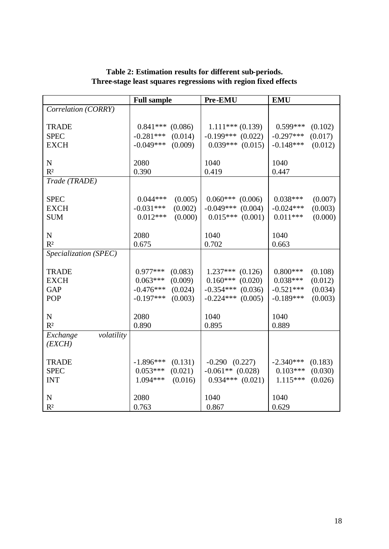|                        | <b>Full sample</b>     | Pre-EMU                | <b>EMU</b>             |
|------------------------|------------------------|------------------------|------------------------|
| Correlation (CORRY)    |                        |                        |                        |
|                        |                        |                        |                        |
| <b>TRADE</b>           | $0.841***$<br>(0.086)  | $1.111***(0.139)$      | $0.599***$<br>(0.102)  |
| <b>SPEC</b>            | $-0.281***$<br>(0.014) | $-0.199***$ (0.022)    | $-0.297***$<br>(0.017) |
| <b>EXCH</b>            | $-0.049***$<br>(0.009) | $0.039***$ $(0.015)$   | $-0.148***$<br>(0.012) |
|                        |                        |                        |                        |
| $\mathbf N$            | 2080                   | 1040                   | 1040                   |
| $R^2$                  | 0.390                  | 0.419                  | 0.447                  |
| Trade (TRADE)          |                        |                        |                        |
|                        |                        |                        |                        |
| <b>SPEC</b>            | $0.044***$<br>(0.005)  | $0.060***$<br>(0.006)  | $0.038***$<br>(0.007)  |
| <b>EXCH</b>            | $-0.031***$<br>(0.002) | $-0.049***$<br>(0.004) | $-0.024***$<br>(0.003) |
| <b>SUM</b>             | $0.012***$<br>(0.000)  | $0.015***$<br>(0.001)  | $0.011***$<br>(0.000)  |
|                        |                        |                        |                        |
| ${\bf N}$              | 2080                   | 1040                   | 1040                   |
| R <sup>2</sup>         | 0.675                  | 0.702                  | 0.663                  |
| Specialization (SPEC)  |                        |                        |                        |
|                        |                        |                        |                        |
| <b>TRADE</b>           | $0.977***$<br>(0.083)  | $1.237***$<br>(0.126)  | $0.800***$<br>(0.108)  |
| <b>EXCH</b>            | $0.063***$<br>(0.009)  | (0.020)<br>$0.160***$  | $0.038***$<br>(0.012)  |
| <b>GAP</b>             | $-0.476***$<br>(0.024) | (0.036)<br>$-0.354***$ | $-0.521***$<br>(0.034) |
| <b>POP</b>             | $-0.197***$<br>(0.003) | $-0.224***$<br>(0.005) | $-0.189***$<br>(0.003) |
|                        |                        |                        |                        |
| ${\bf N}$              | 2080                   | 1040                   | 1040                   |
| R <sup>2</sup>         | 0.890                  | 0.895                  | 0.889                  |
| volatility<br>Exchange |                        |                        |                        |
| (EXCH)                 |                        |                        |                        |
|                        |                        |                        |                        |
| <b>TRADE</b>           | $-1.896***$<br>(0.131) | $-0.290$ $(0.227)$     | $-2.340***$<br>(0.183) |
| <b>SPEC</b>            | $0.053***$<br>(0.021)  | $-0.061**$ (0.028)     | $0.103***$<br>(0.030)  |
| <b>INT</b>             | 1.094***<br>(0.016)    | $0.934***$ $(0.021)$   | $1.115***$<br>(0.026)  |
|                        |                        |                        |                        |
| ${\bf N}$              | 2080                   | 1040                   | 1040                   |
| $R^2$                  | 0.763                  | 0.867                  | 0.629                  |

### **Table 2: Estimation results for different sub-periods. Three-stage least squares regressions with region fixed effects**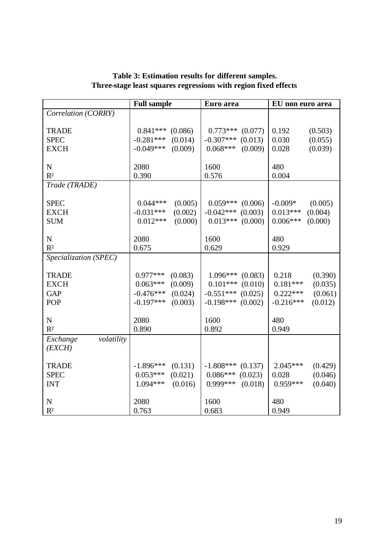|                        | <b>Full sample</b>     | Euro area              | EU non euro area       |
|------------------------|------------------------|------------------------|------------------------|
| Correlation (CORRY)    |                        |                        |                        |
|                        |                        |                        |                        |
| <b>TRADE</b>           | $0.841***$<br>(0.086)  | $0.773***$<br>(0.077)  | 0.192<br>(0.503)       |
| <b>SPEC</b>            | $-0.281***$<br>(0.014) | $-0.307***$<br>(0.013) | 0.030<br>(0.055)       |
| <b>EXCH</b>            | $-0.049***$<br>(0.009) | $0.068***$<br>(0.009)  | 0.028<br>(0.039)       |
|                        |                        |                        |                        |
| ${\bf N}$              | 2080                   | 1600                   | 480                    |
| R <sup>2</sup>         | 0.390                  | 0.576                  | 0.004                  |
| Trade (TRADE)          |                        |                        |                        |
|                        |                        |                        |                        |
| <b>SPEC</b>            | $0.044***$<br>(0.005)  | $0.059***$<br>(0.006)  | $-0.009*$<br>(0.005)   |
| <b>EXCH</b>            | (0.002)<br>$-0.031***$ | (0.003)<br>$-0.042***$ | $0.013***$<br>(0.004)  |
| <b>SUM</b>             | $0.012***$<br>(0.000)  | $0.013***$<br>(0.000)  | $0.006***$<br>(0.000)  |
|                        |                        |                        |                        |
| ${\bf N}$              | 2080                   | 1600                   | 480                    |
| R <sup>2</sup>         | 0.675                  | 0.629                  | 0.929                  |
| Specialization (SPEC)  |                        |                        |                        |
|                        |                        |                        |                        |
| <b>TRADE</b>           | $0.977***$<br>(0.083)  | (0.083)<br>$1.096***$  | 0.218<br>(0.390)       |
| <b>EXCH</b>            | $0.063***$<br>(0.009)  | $0.101***$<br>(0.010)  | $0.181***$<br>(0.035)  |
| <b>GAP</b>             | $-0.476***$<br>(0.024) | (0.025)<br>$-0.551***$ | $0.222***$<br>(0.061)  |
| <b>POP</b>             | $-0.197***$<br>(0.003) | $-0.198***$<br>(0.002) | $-0.216***$<br>(0.012) |
|                        |                        |                        |                        |
| $\mathbf N$            | 2080                   | 1600                   | 480                    |
| R <sup>2</sup>         | 0.890                  | 0.892                  | 0.949                  |
| volatility<br>Exchange |                        |                        |                        |
| (EXCH)                 |                        |                        |                        |
|                        |                        |                        |                        |
| <b>TRADE</b>           | $-1.896***$<br>(0.131) | $-1.808***$<br>(0.137) | $2.045***$<br>(0.429)  |
| <b>SPEC</b>            | $0.053***$<br>(0.021)  | $0.086***$<br>(0.023)  | 0.028<br>(0.046)       |
| <b>INT</b>             | $1.094***$<br>(0.016)  | $0.999***$<br>(0.018)  | $0.959***$<br>(0.040)  |
|                        |                        |                        |                        |
| ${\bf N}$              | 2080                   | 1600                   | 480                    |
| $R^2$                  | 0.763                  | 0.683                  | 0.949                  |

**Table 3: Estimation results for different samples. Three-stage least squares regressions with region fixed effects**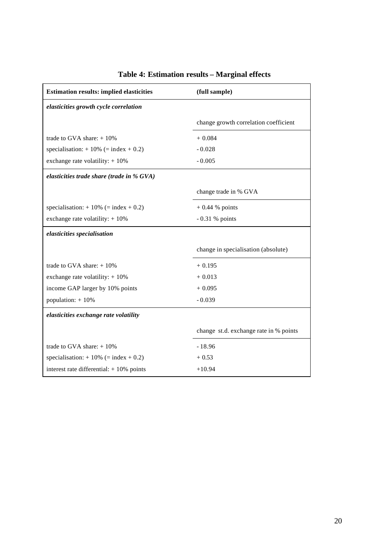| <b>Estimation results: implied elasticities</b> | (full sample)                          |  |  |  |
|-------------------------------------------------|----------------------------------------|--|--|--|
| elasticities growth cycle correlation           |                                        |  |  |  |
|                                                 | change growth correlation coefficient  |  |  |  |
| trade to GVA share: $+10\%$                     | $+0.084$                               |  |  |  |
| specialisation: $+10\%$ (= index $+0.2$ )       | $-0.028$                               |  |  |  |
| exchange rate volatility: $+10\%$               | $-0.005$                               |  |  |  |
| elasticities trade share (trade in % GVA)       |                                        |  |  |  |
|                                                 | change trade in % GVA                  |  |  |  |
| specialisation: $+10\%$ (= index $+0.2$ )       | $+0.44$ % points                       |  |  |  |
| exchange rate volatility: $+10\%$               | $-0.31%$ points                        |  |  |  |
| elasticities specialisation                     |                                        |  |  |  |
|                                                 | change in specialisation (absolute)    |  |  |  |
| trade to GVA share: $+10\%$                     | $+0.195$                               |  |  |  |
| exchange rate volatility: $+10\%$               | $+0.013$                               |  |  |  |
| income GAP larger by 10% points                 | $+0.095$                               |  |  |  |
| population: $+10\%$                             | $-0.039$                               |  |  |  |
| elasticities exchange rate volatility           |                                        |  |  |  |
|                                                 | change st.d. exchange rate in % points |  |  |  |
| trade to GVA share: $+10\%$                     | $-18.96$                               |  |  |  |
| specialisation: $+10\%$ (= index $+0.2$ )       | $+0.53$                                |  |  |  |
| interest rate differential: $+10\%$ points      | $+10.94$                               |  |  |  |

# **Table 4: Estimation results – Marginal effects**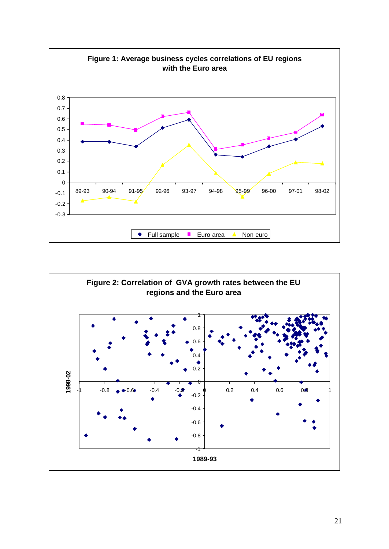